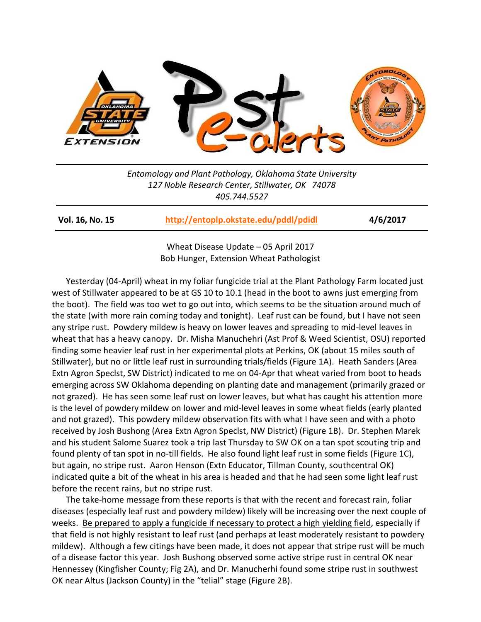

*Entomology and Plant Pathology, Oklahoma State University 127 Noble Research Center, Stillwater, OK 74078 405.744.5527*

**Vol. 16, No. 15 <http://entoplp.okstate.edu/pddl/pdidl> 4/6/2017**

Wheat Disease Update – 05 April 2017 Bob Hunger, Extension Wheat Pathologist

Yesterday (04-April) wheat in my foliar fungicide trial at the Plant Pathology Farm located just west of Stillwater appeared to be at GS 10 to 10.1 (head in the boot to awns just emerging from the boot). The field was too wet to go out into, which seems to be the situation around much of the state (with more rain coming today and tonight). Leaf rust can be found, but I have not seen any stripe rust. Powdery mildew is heavy on lower leaves and spreading to mid-level leaves in wheat that has a heavy canopy. Dr. Misha Manuchehri (Ast Prof & Weed Scientist, OSU) reported finding some heavier leaf rust in her experimental plots at Perkins, OK (about 15 miles south of Stillwater), but no or little leaf rust in surrounding trials/fields (Figure 1A). Heath Sanders (Area Extn Agron Speclst, SW District) indicated to me on 04-Apr that wheat varied from boot to heads emerging across SW Oklahoma depending on planting date and management (primarily grazed or not grazed). He has seen some leaf rust on lower leaves, but what has caught his attention more is the level of powdery mildew on lower and mid-level leaves in some wheat fields (early planted and not grazed). This powdery mildew observation fits with what I have seen and with a photo received by Josh Bushong (Area Extn Agron Speclst, NW District) (Figure 1B). Dr. Stephen Marek and his student Salome Suarez took a trip last Thursday to SW OK on a tan spot scouting trip and found plenty of tan spot in no-till fields. He also found light leaf rust in some fields (Figure 1C), but again, no stripe rust. Aaron Henson (Extn Educator, Tillman County, southcentral OK) indicated quite a bit of the wheat in his area is headed and that he had seen some light leaf rust before the recent rains, but no stripe rust.

The take-home message from these reports is that with the recent and forecast rain, foliar diseases (especially leaf rust and powdery mildew) likely will be increasing over the next couple of weeks. Be prepared to apply a fungicide if necessary to protect a high yielding field, especially if that field is not highly resistant to leaf rust (and perhaps at least moderately resistant to powdery mildew). Although a few citings have been made, it does not appear that stripe rust will be much of a disease factor this year. Josh Bushong observed some active stripe rust in central OK near Hennessey (Kingfisher County; Fig 2A), and Dr. Manucherhi found some stripe rust in southwest OK near Altus (Jackson County) in the "telial" stage (Figure 2B).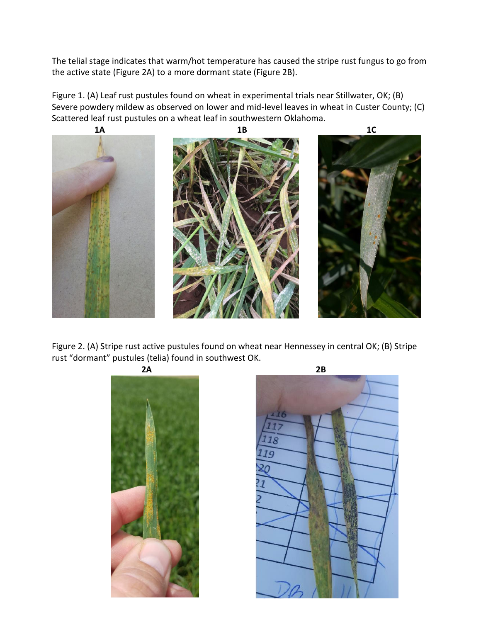The telial stage indicates that warm/hot temperature has caused the stripe rust fungus to go from the active state (Figure 2A) to a more dormant state (Figure 2B).

Figure 1. (A) Leaf rust pustules found on wheat in experimental trials near Stillwater, OK; (B) Severe powdery mildew as observed on lower and mid-level leaves in wheat in Custer County; (C) Scattered leaf rust pustules on a wheat leaf in southwestern Oklahoma.



Figure 2. (A) Stripe rust active pustules found on wheat near Hennessey in central OK; (B) Stripe rust "dormant" pustules (telia) found in southwest OK.



 $7<sub>q</sub>$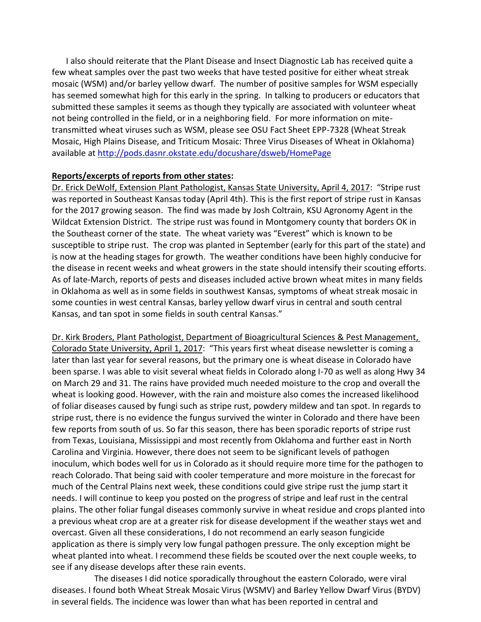I also should reiterate that the Plant Disease and Insect Diagnostic Lab has received quite a few wheat samples over the past two weeks that have tested positive for either wheat streak mosaic (WSM) and/or barley yellow dwarf. The number of positive samples for WSM especially has seemed somewhat high for this early in the spring. In talking to producers or educators that submitted these samples it seems as though they typically are associated with volunteer wheat not being controlled in the field, or in a neighboring field. For more information on mitetransmitted wheat viruses such as WSM, please see OSU Fact Sheet EPP-7328 (Wheat Streak Mosaic, High Plains Disease, and Triticum Mosaic: Three Virus Diseases of Wheat in Oklahoma) available at<http://pods.dasnr.okstate.edu/docushare/dsweb/HomePage>

## **Reports/excerpts of reports from other states:**

Dr. Erick DeWolf, Extension Plant Pathologist, Kansas State University, April 4, 2017: "Stripe rust was reported in Southeast Kansas today (April 4th). This is the first report of stripe rust in Kansas for the 2017 growing season. The find was made by Josh Coltrain, KSU Agronomy Agent in the Wildcat Extension District. The stripe rust was found in Montgomery county that borders OK in the Southeast corner of the state. The wheat variety was "Everest" which is known to be susceptible to stripe rust. The crop was planted in September (early for this part of the state) and is now at the heading stages for growth. The weather conditions have been highly conducive for the disease in recent weeks and wheat growers in the state should intensify their scouting efforts. As of late-March, reports of pests and diseases included active brown wheat mites in many fields in Oklahoma as well as in some fields in southwest Kansas, symptoms of wheat streak mosaic in some counties in west central Kansas, barley yellow dwarf virus in central and south central Kansas, and tan spot in some fields in south central Kansas."

Dr. Kirk Broders, Plant Pathologist, Department of Bioagricultural Sciences & Pest Management, Colorado State University, April 1, 2017: "This years first wheat disease newsletter is coming a later than last year for several reasons, but the primary one is wheat disease in Colorado have been sparse. I was able to visit several wheat fields in Colorado along I-70 as well as along Hwy 34 on March 29 and 31. The rains have provided much needed moisture to the crop and overall the wheat is looking good. However, with the rain and moisture also comes the increased likelihood of foliar diseases caused by fungi such as stripe rust, powdery mildew and tan spot. In regards to stripe rust, there is no evidence the fungus survived the winter in Colorado and there have been few reports from south of us. So far this season, there has been sporadic reports of stripe rust from Texas, Louisiana, Mississippi and most recently from Oklahoma and further east in North Carolina and Virginia. However, there does not seem to be significant levels of pathogen inoculum, which bodes well for us in Colorado as it should require more time for the pathogen to reach Colorado. That being said with cooler temperature and more moisture in the forecast for much of the Central Plains next week, these conditions could give stripe rust the jump start it needs. I will continue to keep you posted on the progress of stripe and leaf rust in the central plains. The other foliar fungal diseases commonly survive in wheat residue and crops planted into a previous wheat crop are at a greater risk for disease development if the weather stays wet and overcast. Given all these considerations, I do not recommend an early season fungicide application as there is simply very low fungal pathogen pressure. The only exception might be wheat planted into wheat. I recommend these fields be scouted over the next couple weeks, to see if any disease develops after these rain events.

The diseases I did notice sporadically throughout the eastern Colorado, were viral diseases. I found both Wheat Streak Mosaic Virus (WSMV) and Barley Yellow Dwarf Virus (BYDV) in several fields. The incidence was lower than what has been reported in central and